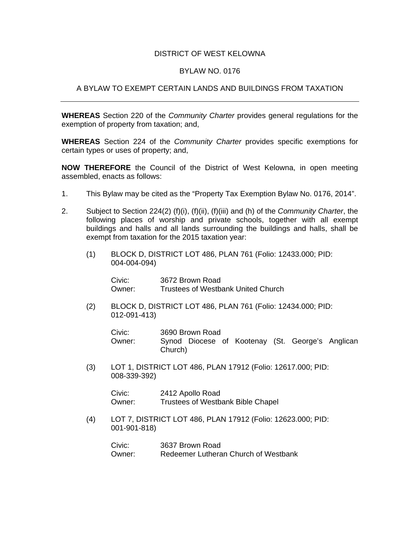## DISTRICT OF WEST KELOWNA

## BYLAW NO. 0176

## A BYLAW TO EXEMPT CERTAIN LANDS AND BUILDINGS FROM TAXATION

**WHEREAS** Section 220 of the *Community Charter* provides general regulations for the exemption of property from taxation; and,

**WHEREAS** Section 224 of the *Community Charter* provides specific exemptions for certain types or uses of property; and,

**NOW THEREFORE** the Council of the District of West Kelowna, in open meeting assembled, enacts as follows:

- 1. This Bylaw may be cited as the "Property Tax Exemption Bylaw No. 0176, 2014".
- 2. Subject to Section 224(2) (f)(i), (f)(ii), (f)(iii) and (h) of the *Community Charter*, the following places of worship and private schools, together with all exempt buildings and halls and all lands surrounding the buildings and halls, shall be exempt from taxation for the 2015 taxation year:
	- (1) BLOCK D, DISTRICT LOT 486, PLAN 761 (Folio: 12433.000; PID: 004-004-094)

 Civic: 3672 Brown Road Owner: Trustees of Westbank United Church

(2) BLOCK D, DISTRICT LOT 486, PLAN 761 (Folio: 12434.000; PID: 012-091-413)

| Civic: | 3690 Brown Road                                  |  |  |
|--------|--------------------------------------------------|--|--|
| Owner: | Synod Diocese of Kootenay (St. George's Anglican |  |  |
|        | Church)                                          |  |  |

(3) LOT 1, DISTRICT LOT 486, PLAN 17912 (Folio: 12617.000; PID: 008-339-392)

> Civic: 2412 Apollo Road Owner: Trustees of Westbank Bible Chapel

 (4) LOT 7, DISTRICT LOT 486, PLAN 17912 (Folio: 12623.000; PID: 001-901-818)

 Civic: 3637 Brown Road Owner: Redeemer Lutheran Church of Westbank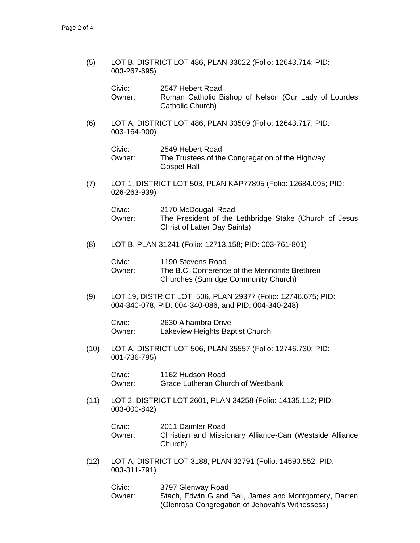(5) LOT B, DISTRICT LOT 486, PLAN 33022 (Folio: 12643.714; PID: 003-267-695)

| Civic:   | 2547 Hebert Road                                     |
|----------|------------------------------------------------------|
| Owner: . | Roman Catholic Bishop of Nelson (Our Lady of Lourdes |
|          | Catholic Church)                                     |

(6) LOT A, DISTRICT LOT 486, PLAN 33509 (Folio: 12643.717; PID: 003-164-900)

| Civic: | 2549 Hebert Road                                |
|--------|-------------------------------------------------|
| Owner: | The Trustees of the Congregation of the Highway |
|        | Gospel Hall                                     |

(7) LOT 1, DISTRICT LOT 503, PLAN KAP77895 (Folio: 12684.095; PID: 026-263-939)

| Civic: | 2170 McDougall Road                                    |
|--------|--------------------------------------------------------|
| Owner: | The President of the Lethbridge Stake (Church of Jesus |
|        | Christ of Latter Day Saints)                           |

(8) LOT B, PLAN 31241 (Folio: 12713.158; PID: 003-761-801)

| Civic: | 1190 Stevens Road                             |
|--------|-----------------------------------------------|
| Owner: | The B.C. Conference of the Mennonite Brethren |
|        | <b>Churches (Sunridge Community Church)</b>   |

(9) LOT 19, DISTRICT LOT 506, PLAN 29377 (Folio: 12746.675; PID: 004-340-078, PID: 004-340-086, and PID: 004-340-248)

 Civic: 2630 Alhambra Drive Owner: Lakeview Heights Baptist Church

 (10) LOT A, DISTRICT LOT 506, PLAN 35557 (Folio: 12746.730; PID: 001-736-795)

> Civic: 1162 Hudson Road Owner: Grace Lutheran Church of Westbank

 (11) LOT 2, DISTRICT LOT 2601, PLAN 34258 (Folio: 14135.112; PID: 003-000-842)

| Civic: | 2011 Daimler Road                                                   |
|--------|---------------------------------------------------------------------|
| Owner: | Christian and Missionary Alliance-Can (Westside Alliance<br>Church) |
|        |                                                                     |

(12) LOT A, DISTRICT LOT 3188, PLAN 32791 (Folio: 14590.552; PID: 003-311-791)

| Civic: | 3797 Glenway Road                                     |
|--------|-------------------------------------------------------|
| Owner: | Stach, Edwin G and Ball, James and Montgomery, Darren |
|        | (Glenrosa Congregation of Jehovah's Witnessess)       |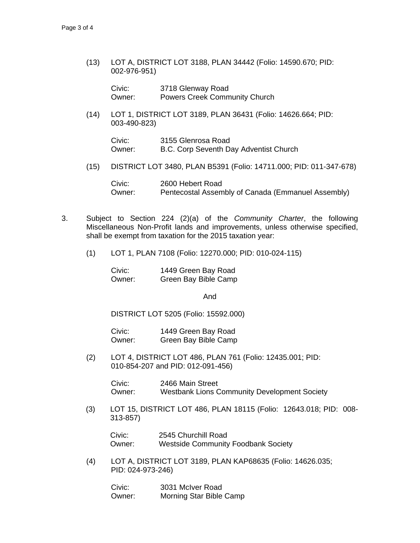(13) LOT A, DISTRICT LOT 3188, PLAN 34442 (Folio: 14590.670; PID: 002-976-951)

| Civic: | 3718 Glenway Road                    |  |
|--------|--------------------------------------|--|
| Owner: | <b>Powers Creek Community Church</b> |  |

 (14) LOT 1, DISTRICT LOT 3189, PLAN 36431 (Folio: 14626.664; PID: 003-490-823)

| Civic: | 3155 Glenrosa Road                     |  |
|--------|----------------------------------------|--|
| Owner: | B.C. Corp Seventh Day Adventist Church |  |

(15) DISTRICT LOT 3480, PLAN B5391 (Folio: 14711.000; PID: 011-347-678)

 Civic: 2600 Hebert Road Owner: Pentecostal Assembly of Canada (Emmanuel Assembly)

- 3. Subject to Section 224 (2)(a) of the *Community Charter*, the following Miscellaneous Non-Profit lands and improvements, unless otherwise specified, shall be exempt from taxation for the 2015 taxation year:
	- (1) LOT 1, PLAN 7108 (Folio: 12270.000; PID: 010-024-115)

 Civic: 1449 Green Bay Road Owner: Green Bay Bible Camp

And

DISTRICT LOT 5205 (Folio: 15592.000)

 Civic: 1449 Green Bay Road Owner: Green Bay Bible Camp

(2) LOT 4, DISTRICT LOT 486, PLAN 761 (Folio: 12435.001; PID: 010-854-207 and PID: 012-091-456)

> Civic: 2466 Main Street Owner: Westbank Lions Community Development Society

(3) LOT 15, DISTRICT LOT 486, PLAN 18115 (Folio: 12643.018; PID: 008- 313-857)

Civic: 2545 Churchill Road Owner: Westside Community Foodbank Society

(4) LOT A, DISTRICT LOT 3189, PLAN KAP68635 (Folio: 14626.035; PID: 024-973-246)

 Civic: 3031 McIver Road Owner: Morning Star Bible Camp